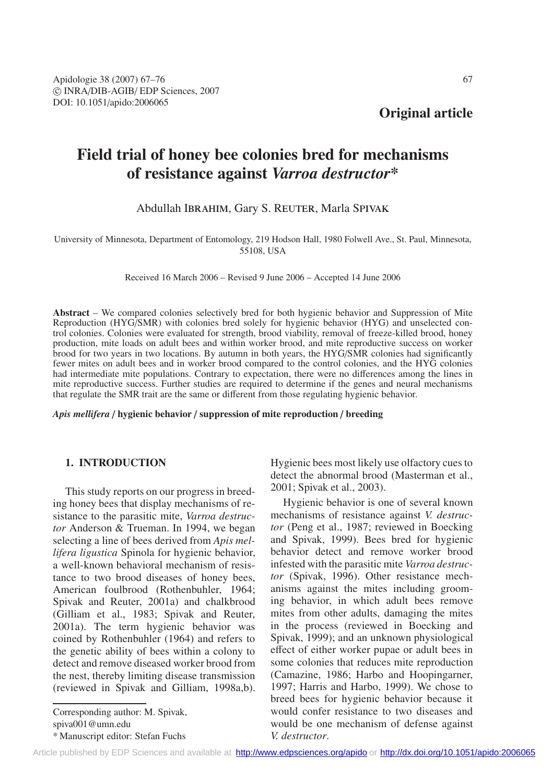# **Field trial of honey bee colonies bred for mechanisms of resistance against** *Varroa destructor***\***

## Abdullah IBRAHIM, Gary S. REUTER, Marla SPIVAK

University of Minnesota, Department of Entomology, 219 Hodson Hall, 1980 Folwell Ave., St. Paul, Minnesota, 55108, USA

Received 16 March 2006 – Revised 9 June 2006 – Accepted 14 June 2006

**Abstract** – We compared colonies selectively bred for both hygienic behavior and Suppression of Mite Reproduction (HYG/SMR) with colonies bred solely for hygienic behavior (HYG) and unselected control colonies. Colonies were evaluated for strength, brood viability, removal of freeze-killed brood, honey production, mite loads on adult bees and within worker brood, and mite reproductive success on worker brood for two years in two locations. By autumn in both years, the HYG/SMR colonies had significantly fewer mites on adult bees and in worker brood compared to the control colonies, and the HYG colonies had intermediate mite populations. Contrary to expectation, there were no differences among the lines in mite reproductive success. Further studies are required to determine if the genes and neural mechanisms that regulate the SMR trait are the same or different from those regulating hygienic behavior.

*Apis mellifera* / **hygienic behavior** / **suppression of mite reproduction** / **breeding**

# **1. INTRODUCTION**

This study reports on our progress in breeding honey bees that display mechanisms of resistance to the parasitic mite, *Varroa destructor* Anderson & Trueman. In 1994, we began selecting a line of bees derived from *Apis mellifera ligustica* Spinola for hygienic behavior, a well-known behavioral mechanism of resistance to two brood diseases of honey bees, American foulbrood (Rothenbuhler, 1964; Spivak and Reuter, 2001a) and chalkbrood (Gilliam et al., 1983; Spivak and Reuter, 2001a). The term hygienic behavior was coined by Rothenbuhler (1964) and refers to the genetic ability of bees within a colony to detect and remove diseased worker brood from the nest, thereby limiting disease transmission (reviewed in Spivak and Gilliam, 1998a,b).

Corresponding author: M. Spivak, spiva001@umn.edu \* Manuscript editor: Stefan Fuchs Hygienic bees most likely use olfactory cues to detect the abnormal brood (Masterman et al., 2001; Spivak et al., 2003).

Hygienic behavior is one of several known mechanisms of resistance against *V. destructor* (Peng et al., 1987; reviewed in Boecking and Spivak, 1999). Bees bred for hygienic behavior detect and remove worker brood infested with the parasitic mite *Varroa destructor* (Spivak, 1996). Other resistance mechanisms against the mites including grooming behavior, in which adult bees remove mites from other adults, damaging the mites in the process (reviewed in Boecking and Spivak, 1999); and an unknown physiological effect of either worker pupae or adult bees in some colonies that reduces mite reproduction (Camazine, 1986; Harbo and Hoopingarner, 1997; Harris and Harbo, 1999). We chose to breed bees for hygienic behavior because it would confer resistance to two diseases and would be one mechanism of defense against *V. destructor*.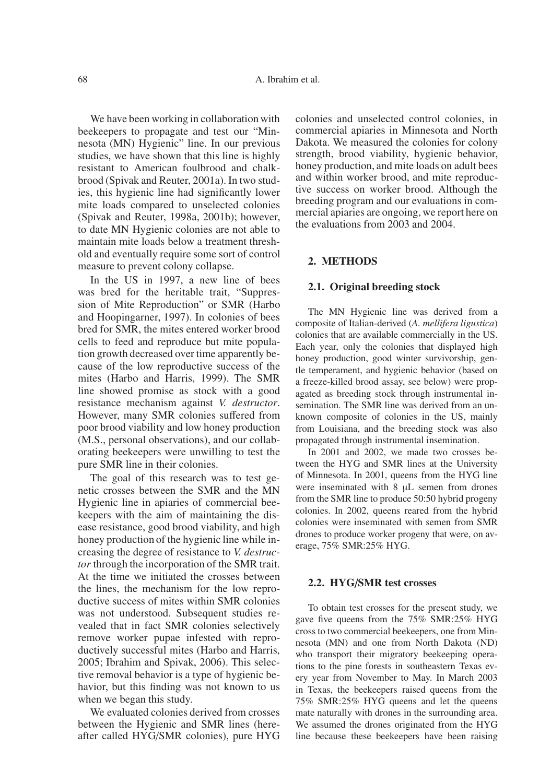We have been working in collaboration with beekeepers to propagate and test our "Minnesota (MN) Hygienic" line. In our previous studies, we have shown that this line is highly resistant to American foulbrood and chalkbrood (Spivak and Reuter, 2001a). In two studies, this hygienic line had significantly lower mite loads compared to unselected colonies (Spivak and Reuter, 1998a, 2001b); however, to date MN Hygienic colonies are not able to maintain mite loads below a treatment threshold and eventually require some sort of control measure to prevent colony collapse.

In the US in 1997, a new line of bees was bred for the heritable trait, "Suppression of Mite Reproduction" or SMR (Harbo and Hoopingarner, 1997). In colonies of bees bred for SMR, the mites entered worker brood cells to feed and reproduce but mite population growth decreased over time apparently because of the low reproductive success of the mites (Harbo and Harris, 1999). The SMR line showed promise as stock with a good resistance mechanism against *V. destructor*. However, many SMR colonies suffered from poor brood viability and low honey production (M.S., personal observations), and our collaborating beekeepers were unwilling to test the pure SMR line in their colonies.

The goal of this research was to test genetic crosses between the SMR and the MN Hygienic line in apiaries of commercial beekeepers with the aim of maintaining the disease resistance, good brood viability, and high honey production of the hygienic line while increasing the degree of resistance to *V. destructor* through the incorporation of the SMR trait. At the time we initiated the crosses between the lines, the mechanism for the low reproductive success of mites within SMR colonies was not understood. Subsequent studies revealed that in fact SMR colonies selectively remove worker pupae infested with reproductively successful mites (Harbo and Harris, 2005; Ibrahim and Spivak, 2006). This selective removal behavior is a type of hygienic behavior, but this finding was not known to us when we began this study.

We evaluated colonies derived from crosses between the Hygienic and SMR lines (hereafter called HYG/SMR colonies), pure HYG colonies and unselected control colonies, in commercial apiaries in Minnesota and North Dakota. We measured the colonies for colony strength, brood viability, hygienic behavior, honey production, and mite loads on adult bees and within worker brood, and mite reproductive success on worker brood. Although the breeding program and our evaluations in commercial apiaries are ongoing, we report here on the evaluations from 2003 and 2004.

## **2. METHODS**

#### **2.1. Original breeding stock**

The MN Hygienic line was derived from a composite of Italian-derived (*A. mellifera ligustica*) colonies that are available commercially in the US. Each year, only the colonies that displayed high honey production, good winter survivorship, gentle temperament, and hygienic behavior (based on a freeze-killed brood assay, see below) were propagated as breeding stock through instrumental insemination. The SMR line was derived from an unknown composite of colonies in the US, mainly from Louisiana, and the breeding stock was also propagated through instrumental insemination.

In 2001 and 2002, we made two crosses between the HYG and SMR lines at the University of Minnesota. In 2001, queens from the HYG line were inseminated with 8 µL semen from drones from the SMR line to produce 50:50 hybrid progeny colonies. In 2002, queens reared from the hybrid colonies were inseminated with semen from SMR drones to produce worker progeny that were, on average, 75% SMR:25% HYG.

## **2.2. HYG**/**SMR test crosses**

To obtain test crosses for the present study, we gave five queens from the 75% SMR:25% HYG cross to two commercial beekeepers, one from Minnesota (MN) and one from North Dakota (ND) who transport their migratory beekeeping operations to the pine forests in southeastern Texas every year from November to May. In March 2003 in Texas, the beekeepers raised queens from the 75% SMR:25% HYG queens and let the queens mate naturally with drones in the surrounding area. We assumed the drones originated from the HYG line because these beekeepers have been raising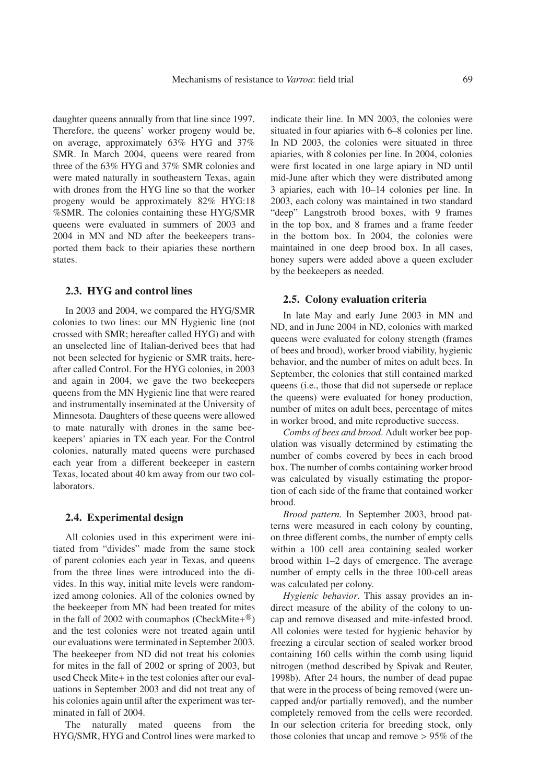daughter queens annually from that line since 1997. Therefore, the queens' worker progeny would be, on average, approximately 63% HYG and 37% SMR. In March 2004, queens were reared from three of the 63% HYG and 37% SMR colonies and were mated naturally in southeastern Texas, again with drones from the HYG line so that the worker progeny would be approximately 82% HYG:18 %SMR. The colonies containing these HYG/SMR queens were evaluated in summers of 2003 and 2004 in MN and ND after the beekeepers transported them back to their apiaries these northern states.

## **2.3. HYG and control lines**

In 2003 and 2004, we compared the HYG/SMR colonies to two lines: our MN Hygienic line (not crossed with SMR; hereafter called HYG) and with an unselected line of Italian-derived bees that had not been selected for hygienic or SMR traits, hereafter called Control. For the HYG colonies, in 2003 and again in 2004, we gave the two beekeepers queens from the MN Hygienic line that were reared and instrumentally inseminated at the University of Minnesota. Daughters of these queens were allowed to mate naturally with drones in the same beekeepers' apiaries in TX each year. For the Control colonies, naturally mated queens were purchased each year from a different beekeeper in eastern Texas, located about 40 km away from our two collaborators.

#### **2.4. Experimental design**

All colonies used in this experiment were initiated from "divides" made from the same stock of parent colonies each year in Texas, and queens from the three lines were introduced into the divides. In this way, initial mite levels were randomized among colonies. All of the colonies owned by the beekeeper from MN had been treated for mites in the fall of 2002 with coumaphos (CheckMite $+\infty$ ) and the test colonies were not treated again until our evaluations were terminated in September 2003. The beekeeper from ND did not treat his colonies for mites in the fall of 2002 or spring of 2003, but used Check Mite+ in the test colonies after our evaluations in September 2003 and did not treat any of his colonies again until after the experiment was terminated in fall of 2004.

The naturally mated queens from the HYG/SMR, HYG and Control lines were marked to

indicate their line. In MN 2003, the colonies were situated in four apiaries with 6–8 colonies per line. In ND 2003, the colonies were situated in three apiaries, with 8 colonies per line. In 2004, colonies were first located in one large apiary in ND until mid-June after which they were distributed among 3 apiaries, each with 10–14 colonies per line. In 2003, each colony was maintained in two standard "deep" Langstroth brood boxes, with 9 frames in the top box, and 8 frames and a frame feeder in the bottom box. In 2004, the colonies were maintained in one deep brood box. In all cases, honey supers were added above a queen excluder by the beekeepers as needed.

#### **2.5. Colony evaluation criteria**

In late May and early June 2003 in MN and ND, and in June 2004 in ND, colonies with marked queens were evaluated for colony strength (frames of bees and brood), worker brood viability, hygienic behavior, and the number of mites on adult bees. In September, the colonies that still contained marked queens (i.e., those that did not supersede or replace the queens) were evaluated for honey production, number of mites on adult bees, percentage of mites in worker brood, and mite reproductive success.

*Combs of bees and brood*. Adult worker bee population was visually determined by estimating the number of combs covered by bees in each brood box. The number of combs containing worker brood was calculated by visually estimating the proportion of each side of the frame that contained worker brood.

*Brood pattern.* In September 2003, brood patterns were measured in each colony by counting, on three different combs, the number of empty cells within a 100 cell area containing sealed worker brood within 1–2 days of emergence. The average number of empty cells in the three 100-cell areas was calculated per colony.

*Hygienic behavior*. This assay provides an indirect measure of the ability of the colony to uncap and remove diseased and mite-infested brood. All colonies were tested for hygienic behavior by freezing a circular section of sealed worker brood containing 160 cells within the comb using liquid nitrogen (method described by Spivak and Reuter, 1998b). After 24 hours, the number of dead pupae that were in the process of being removed (were uncapped and/or partially removed), and the number completely removed from the cells were recorded. In our selection criteria for breeding stock, only those colonies that uncap and remove > 95% of the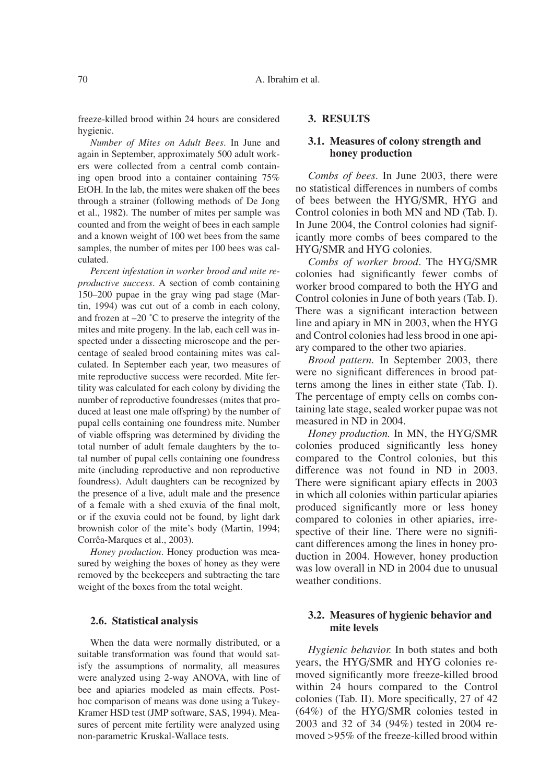freeze-killed brood within 24 hours are considered hygienic.

*Number of Mites on Adult Bees*. In June and again in September, approximately 500 adult workers were collected from a central comb containing open brood into a container containing 75% EtOH. In the lab, the mites were shaken off the bees through a strainer (following methods of De Jong et al., 1982). The number of mites per sample was counted and from the weight of bees in each sample and a known weight of 100 wet bees from the same samples, the number of mites per 100 bees was calculated.

*Percent infestation in worker brood and mite reproductive success*. A section of comb containing 150–200 pupae in the gray wing pad stage (Martin, 1994) was cut out of a comb in each colony, and frozen at  $-20$  °C to preserve the integrity of the mites and mite progeny. In the lab, each cell was inspected under a dissecting microscope and the percentage of sealed brood containing mites was calculated. In September each year, two measures of mite reproductive success were recorded. Mite fertility was calculated for each colony by dividing the number of reproductive foundresses (mites that produced at least one male offspring) by the number of pupal cells containing one foundress mite. Number of viable offspring was determined by dividing the total number of adult female daughters by the total number of pupal cells containing one foundress mite (including reproductive and non reproductive foundress). Adult daughters can be recognized by the presence of a live, adult male and the presence of a female with a shed exuvia of the final molt, or if the exuvia could not be found, by light dark brownish color of the mite's body (Martin, 1994; Corrêa-Marques et al., 2003).

*Honey production*. Honey production was measured by weighing the boxes of honey as they were removed by the beekeepers and subtracting the tare weight of the boxes from the total weight.

#### **2.6. Statistical analysis**

When the data were normally distributed, or a suitable transformation was found that would satisfy the assumptions of normality, all measures were analyzed using 2-way ANOVA, with line of bee and apiaries modeled as main effects. Posthoc comparison of means was done using a Tukey-Kramer HSD test (JMP software, SAS, 1994). Measures of percent mite fertility were analyzed using non-parametric Kruskal-Wallace tests.

# **3. RESULTS**

# **3.1. Measures of colony strength and honey production**

*Combs of bees*. In June 2003, there were no statistical differences in numbers of combs of bees between the HYG/SMR, HYG and Control colonies in both MN and ND (Tab. I). In June 2004, the Control colonies had significantly more combs of bees compared to the HYG/SMR and HYG colonies.

*Combs of worker brood*. The HYG/SMR colonies had significantly fewer combs of worker brood compared to both the HYG and Control colonies in June of both years (Tab. I). There was a significant interaction between line and apiary in MN in 2003, when the HYG and Control colonies had less brood in one apiary compared to the other two apiaries.

*Brood pattern.* In September 2003, there were no significant differences in brood patterns among the lines in either state (Tab. I). The percentage of empty cells on combs containing late stage, sealed worker pupae was not measured in ND in 2004.

*Honey production.* In MN, the HYG/SMR colonies produced significantly less honey compared to the Control colonies, but this difference was not found in ND in 2003. There were significant apiary effects in 2003 in which all colonies within particular apiaries produced significantly more or less honey compared to colonies in other apiaries, irrespective of their line. There were no significant differences among the lines in honey production in 2004. However, honey production was low overall in ND in 2004 due to unusual weather conditions.

# **3.2. Measures of hygienic behavior and mite levels**

*Hygienic behavior.* In both states and both years, the HYG/SMR and HYG colonies removed significantly more freeze-killed brood within 24 hours compared to the Control colonies (Tab. II). More specifically, 27 of 42 (64%) of the HYG/SMR colonies tested in 2003 and 32 of 34 (94%) tested in 2004 removed >95% of the freeze-killed brood within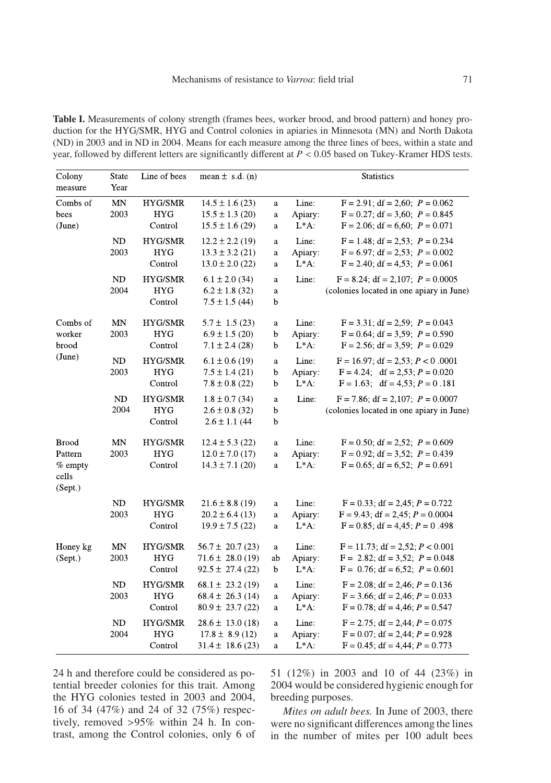**Table I.** Measurements of colony strength (frames bees, worker brood, and brood pattern) and honey production for the HYG/SMR, HYG and Control colonies in apiaries in Minnesota (MN) and North Dakota (ND) in 2003 and in ND in 2004. Means for each measure among the three lines of bees, within a state and year, followed by different letters are significantly different at *P* < 0.05 based on Tukey-Kramer HDS tests.

| Colony<br>measure                                      | State<br>Year      | Line of bees                            | mean $\pm$ s.d. (n)                                                |                        |                              | <b>Statistics</b>                                                                                                   |
|--------------------------------------------------------|--------------------|-----------------------------------------|--------------------------------------------------------------------|------------------------|------------------------------|---------------------------------------------------------------------------------------------------------------------|
| Combs of<br>bees<br>(June)                             | <b>MN</b><br>2003  | HYG/SMR<br>${\rm HYG}$<br>Control       | $14.5 \pm 1.6$ (23)<br>$15.5 \pm 1.3$ (20)<br>$15.5 \pm 1.6$ (29)  | a<br>a<br>a            | Line:<br>Apiary:<br>$L^*A$ : | $F = 2.91$ ; df = 2,60; $P = 0.062$<br>$F = 0.27$ ; df = 3,60; $P = 0.845$<br>$F = 2.06$ ; df = 6,60; $P = 0.071$   |
|                                                        | ND<br>2003         | <b>HYG/SMR</b><br><b>HYG</b><br>Control | $12.2 \pm 2.2$ (19)<br>$13.3 \pm 3.2$ (21)<br>$13.0 \pm 2.0$ (22)  | a<br>a<br>a            | Line:<br>Apiary:<br>$L^*A$ : | $F = 1.48$ ; df = 2,53; $P = 0.234$<br>$F = 6.97$ ; df = 2,53; $P = 0.002$<br>$F = 2.40$ ; df = 4,53; $P = 0.061$   |
|                                                        | ND<br>2004         | <b>HYG/SMR</b><br><b>HYG</b><br>Control | $6.1 \pm 2.0$ (34)<br>$6.2 \pm 1.8$ (32)<br>$7.5 \pm 1.5$ (44)     | a<br>$\rm{a}$<br>b     | Line:                        | $F = 8.24$ ; df = 2,107; $P = 0.0005$<br>(colonies located in one apiary in June)                                   |
| Combs of<br>worker<br>brood<br>(June)                  | MN<br>2003         | HYG/SMR<br><b>HYG</b><br>Control        | $5.7 \pm 1.5(23)$<br>$6.9 \pm 1.5$ (20)<br>$7.1 \pm 2.4$ (28)      | a<br>b<br>b            | Line:<br>Apiary:<br>$L^*A$ : | $F = 3.31$ ; df = 2,59; $P = 0.043$<br>$F = 0.64$ ; df = 3,59; $P = 0.590$<br>$F = 2.56$ ; df = 3,59; $P = 0.029$   |
|                                                        | ND<br>2003         | HYG/SMR<br><b>HYG</b><br>Control        | $6.1 \pm 0.6$ (19)<br>$7.5 \pm 1.4(21)$<br>$7.8 \pm 0.8$ (22)      | a<br>b<br>b            | Line:<br>Apiary:<br>$L^*A$ : | $F = 16.97$ ; df = 2,53; $P < 0.0001$<br>$F = 4.24$ ; df = 2.53; $P = 0.020$<br>$F = 1.63$ ; df = 4,53; $P = 0.181$ |
|                                                        | ${\rm ND}$<br>2004 | HYG/SMR<br><b>HYG</b><br>Control        | $1.8 \pm 0.7$ (34)<br>$2.6 \pm 0.8$ (32)<br>$2.6 \pm 1.1$ (44)     | a<br>b<br>b            | Line:                        | $F = 7.86$ ; df = 2,107; $P = 0.0007$<br>(colonies located in one apiary in June)                                   |
| <b>Brood</b><br>Pattern<br>% empty<br>cells<br>(Sept.) | <b>MN</b><br>2003  | <b>HYG/SMR</b><br><b>HYG</b><br>Control | $12.4 \pm 5.3$ (22)<br>$12.0 \pm 7.0$ (17)<br>$14.3 \pm 7.1$ (20)  | a<br>a<br>a            | Line:<br>Apiary:<br>$L^*A$ : | $F = 0.50$ ; df = 2,52; $P = 0.609$<br>$F = 0.92$ ; df = 3,52; $P = 0.439$<br>$F = 0.65$ ; df = 6,52; $P = 0.691$   |
|                                                        | ND<br>2003         | HYG/SMR<br><b>HYG</b><br>Control        | $21.6 \pm 8.8$ (19)<br>$20.2 \pm 6.4$ (13)<br>$19.9 \pm 7.5$ (22)  | a<br>a<br>a            | Line:<br>Apiary:<br>$L^*A$ : | $F = 0.33$ ; df = 2,45; $P = 0.722$<br>$F = 9.43$ ; df = 2,45; $P = 0.0004$<br>$F = 0.85$ ; df = 4,45; $P = 0.498$  |
| Honey kg<br>(Sept.)                                    | <b>MN</b><br>2003  | <b>HYG/SMR</b><br><b>HYG</b><br>Control | $56.7 \pm 20.7(23)$<br>$71.6 \pm 28.0(19)$<br>$92.5 \pm 27.4(22)$  | a<br>ab<br>$\mathbf b$ | Line:<br>Apiary:<br>$L^*A$ : | $F = 11.73$ ; df = 2,52; $P < 0.001$<br>$F = 2.82$ ; df = 3,52; $P = 0.048$<br>$F = 0.76$ ; df = 6,52; $P = 0.601$  |
|                                                        | ND<br>2003         | <b>HYG/SMR</b><br><b>HYG</b><br>Control | $68.1 \pm 23.2$ (19)<br>$68.4 \pm 26.3(14)$<br>$80.9 \pm 23.7(22)$ | a<br>a<br>a            | Line:<br>Apiary:<br>$L^*A$ : | $F = 2.08$ ; df = 2,46; $P = 0.136$<br>$F = 3.66$ ; df = 2,46; $P = 0.033$<br>$F = 0.78$ ; df = 4,46; $P = 0.547$   |
|                                                        | <b>ND</b><br>2004  | <b>HYG/SMR</b><br><b>HYG</b><br>Control | $28.6 \pm 13.0(18)$<br>$17.8 \pm 8.9$ (12)<br>$31.4 \pm 18.6(23)$  | a<br>a<br>a            | Line:<br>Apiary:<br>$L^*A$ : | $F = 2.75$ ; df = 2,44; $P = 0.075$<br>$F = 0.07$ ; df = 2,44; $P = 0.928$<br>$F = 0.45$ ; df = 4,44; $P = 0.773$   |

24 h and therefore could be considered as potential breeder colonies for this trait. Among the HYG colonies tested in 2003 and 2004, 16 of 34 (47%) and 24 of 32 (75%) respectively, removed >95% within 24 h. In contrast, among the Control colonies, only 6 of 51 (12%) in 2003 and 10 of 44 (23%) in 2004 would be considered hygienic enough for breeding purposes.

*Mites on adult bees.* In June of 2003, there were no significant differences among the lines in the number of mites per 100 adult bees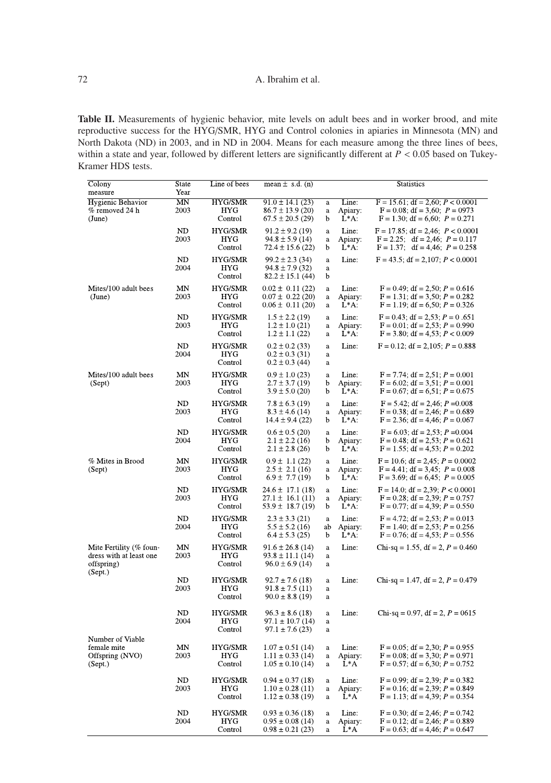Table II. Measurements of hygienic behavior, mite levels on adult bees and in worker brood, and mite reproductive success for the HYG/SMR, HYG and Control colonies in apiaries in Minnesota (MN) and North Dakota (ND) in 2003, and in ND in 2004. Means for each measure among the three lines of bees, within a state and year, followed by different letters are significantly different at *P* < 0.05 based on Tukey-Kramer HDS tests.

| Colony<br>measure                                                | <b>State</b><br>Year | Line of bees                            | mean $\pm$ s.d. (n)                                                  |                        |                              | <b>Statistics</b>                                                                                                   |
|------------------------------------------------------------------|----------------------|-----------------------------------------|----------------------------------------------------------------------|------------------------|------------------------------|---------------------------------------------------------------------------------------------------------------------|
| Hygienic Behavior<br>% removed 24 h<br>(June)                    | MN<br>2003           | <b>HYG/SMR</b><br><b>HYG</b><br>Control | $91.0 \pm 14.1(23)$<br>$86.7 \pm 13.9$ (20)<br>$67.5 \pm 20.5$ (29)  | a<br>a<br>b            | Line:<br>Apiary:<br>$L^*A$ : | $F = 15.61$ ; df = 2,60; $P < 0.0001$<br>$F = 0.08$ ; df = 3,60; $P = 0973$<br>$F = 1.30$ ; df = 6,60; $P = 0.271$  |
|                                                                  | ND<br>2003           | <b>HYG/SMR</b><br><b>HYG</b><br>Control | $91.2 \pm 9.2$ (19)<br>$94.8 \pm 5.9$ (14)<br>$72.4 \pm 15.6$ (22)   | $\rm{a}$<br>a<br>b     | Line:<br>Apiary:<br>$L^*A$ : | $F = 17.85$ ; df = 2,46; $P < 0.0001$<br>$F = 2.25$ ; df = 2,46; $P = 0.117$<br>$F = 1.37$ ; df = 4,46; $P = 0.258$ |
|                                                                  | <b>ND</b><br>2004    | <b>HYG/SMR</b><br><b>HYG</b><br>Control | $99.2 \pm 2.3$ (34)<br>$94.8 \pm 7.9$ (32)<br>$82.2 \pm 15.1$ (44)   | a<br>$\rm{a}$<br>b     | Line:                        | $F = 43.5$ ; df = 2,107; $P < 0.0001$                                                                               |
| Mites/100 adult bees<br>(June)                                   | MN<br>2003           | <b>HYG/SMR</b><br><b>HYG</b><br>Control | $0.02 \pm 0.11(22)$<br>$0.07 \pm 0.22$ (20)<br>$0.06 \pm 0.11(20)$   | $\rm{a}$<br>a<br>a     | Line:<br>Apiarv:<br>$L^*A$ : | $F = 0.49$ ; df = 2,50; $P = 0.616$<br>$F = 1.31$ ; df = 3.50; $P = 0.282$<br>$F = 1.19$ ; df = 6,50; $P = 0.326$   |
|                                                                  | <b>ND</b><br>2003    | <b>HYG/SMR</b><br><b>HYG</b><br>Control | $1.5 \pm 2.2$ (19)<br>$1.2 \pm 1.0$ (21)<br>$1.2 \pm 1.1$ (22)       | a<br>a<br>a            | Line:<br>Apiary:<br>$L^*A$ : | $F = 0.43$ ; df = 2.53; $P = 0.651$<br>$F = 0.01$ ; df = 2,53; $P = 0.990$<br>$F = 3.80$ ; df = 4,53; $P < 0.009$   |
|                                                                  | <b>ND</b><br>2004    | <b>HYG/SMR</b><br><b>HYG</b><br>Control | $0.2 \pm 0.2$ (33)<br>$0.2 \pm 0.3$ (31)<br>$0.2 \pm 0.3$ (44)       | $\rm{a}$<br>a<br>a     | Line:                        | $F = 0.12$ ; df = 2,105; $P = 0.888$                                                                                |
| Mites/100 adult bees<br>(Sept)                                   | <b>MN</b><br>2003    | <b>HYG/SMR</b><br><b>HYG</b><br>Control | $0.9 \pm 1.0$ (23)<br>$2.7 \pm 3.7$ (19)<br>$3.9 \pm 5.0$ (20)       | a<br>b<br>b            | Line:<br>Apiary:<br>$L^*A$ : | $F = 7.74$ ; df = 2.51; $P = 0.001$<br>$F = 6.02$ ; df = 3.51; $P = 0.001$<br>$F = 0.67$ ; df = 6,51; $P = 0.675$   |
|                                                                  | ND<br>2003           | <b>HYG/SMR</b><br>HYG<br>Control        | $7.8 \pm 6.3$ (19)<br>$8.3 \pm 4.6$ (14)<br>$14.4 \pm 9.4(22)$       | a<br>a<br>b            | Line:<br>Apiary:<br>$L^*A$ : | $F = 5.42$ ; df = 2.46; P = 0.008<br>$F = 0.38$ ; df = 2,46; $P = 0.689$<br>$F = 2.36$ ; df = 4,46; $P = 0.067$     |
|                                                                  | <b>ND</b><br>2004    | <b>HYG/SMR</b><br><b>HYG</b><br>Control | $0.6 \pm 0.5$ (20)<br>$2.1 \pm 2.2$ (16)<br>$2.1 \pm 2.8$ (26)       | a<br>b<br>b            | Line:<br>Apiary:<br>$L^*A$ : | $F = 6.03$ ; df = 2.53; P = 0.004<br>$F = 0.48$ ; df = 2,53; $P = 0.621$<br>$F = 1.55$ ; df = 4.53; $P = 0.202$     |
| % Mites in Brood<br>(Sept)                                       | <b>MN</b><br>2003    | <b>HYG/SMR</b><br><b>HYG</b><br>Control | $0.9 \pm 1.1(22)$<br>$2.5 \pm 2.1(16)$<br>$6.9 \pm 7.7(19)$          | a<br>$\mathbf{a}$<br>b | Line:<br>Apiary:<br>$L^*A$ : | $F = 10.6$ ; df = 2,45; $P = 0.0002$<br>$F = 4.41$ ; df = 3.45; $P = 0.008$<br>$F = 3.69$ ; df = 6,45; $P = 0.005$  |
|                                                                  | <b>ND</b><br>2003    | <b>HYG/SMR</b><br><b>HYG</b><br>Control | $24.6 \pm 17.1(18)$<br>$27.1 \pm 16.1(11)$<br>$53.9 \pm 18.7(19)$    | a<br>$\rm{a}$<br>b     | Line:<br>Apiary:<br>$L^*A$ : | $F = 14.0$ ; df = 2.39; $P < 0.0001$<br>$F = 0.28$ ; df = 2,39; $P = 0.757$<br>$F = 0.77$ ; df = 4,39; $P = 0.550$  |
|                                                                  | <b>ND</b><br>2004    | <b>HYG/SMR</b><br>HYG<br>Control        | $2.3 \pm 3.3$ (21)<br>$5.5 \pm 5.2$ (16)<br>$6.4 \pm 5.3$ (25)       | a<br>ab<br>b           | Line:<br>Apiary:<br>$L^*A$ : | $F = 4.72$ ; df = 2.53; $P = 0.013$<br>$F = 1.40$ ; df = 2.53; $P = 0.256$<br>$F = 0.76$ ; df = 4,53; $P = 0.556$   |
| Mite Fertility (% foun-<br>dress with at least one<br>offspring) | MΝ<br>2003           | <b>HYG/SMR</b><br><b>HYG</b><br>Control | $91.6 \pm 26.8$ (14)<br>$93.8 \pm 11.1$ (14)<br>$96.0 \pm 6.9$ (14)  | a<br>$\mathbf{a}$<br>a | Line:                        | Chi-sq = 1.55, df = 2, $P = 0.460$                                                                                  |
| (Sept.)                                                          | ND<br>2003           | <b>HYG/SMR</b><br><b>HYG</b><br>Control | $92.7 \pm 7.6$ (18)<br>$91.8 \pm 7.5$ (11)<br>$90.0 \pm 8.8$ (19)    | a<br>$\rm{a}$<br>a     | Line:                        | Chi-sq = 1.47, df = 2, $P = 0.479$                                                                                  |
|                                                                  | <b>ND</b><br>2004    | <b>HYG/SMR</b><br><b>HYG</b><br>Control | $96.3 \pm 8.6$ (18)<br>$97.1 \pm 10.7$ (14)<br>$97.1 \pm 7.6(23)$    | a<br>a<br>a            | Line:                        | Chi-sq = 0.97, df = 2, $P = 0615$                                                                                   |
| Number of Viable<br>female mite<br>Offspring (NVO)<br>(Sept.)    | <b>MN</b><br>2003    | <b>HYG/SMR</b><br><b>HYG</b><br>Control | $1.07 \pm 0.51$ (14)<br>$1.11 \pm 0.33$ (14)<br>$1.05 \pm 0.10$ (14) | a<br>$\rm{a}$<br>a     | Line:<br>Apiary:<br>$L^*A$   | $F = 0.05$ ; df = 2.30; $P = 0.955$<br>$F = 0.08$ ; df = 3,30; $P = 0.971$<br>$F = 0.57$ ; df = 6,30; $P = 0.752$   |
|                                                                  | ND<br>2003           | HYG/SMR<br>HYG<br>Control               | $0.94 \pm 0.37(18)$<br>$1.10 \pm 0.28$ (11)<br>$1.12 \pm 0.38$ (19)  | $\rm{a}$<br>a<br>a     | Line:<br>Apiary:<br>L*A      | $F = 0.99$ ; df = 2.39; $P = 0.382$<br>$F = 0.16$ ; df = 2,39; $P = 0.849$<br>$F = 1.13$ ; df = 4,39; $P = 0.354$   |
|                                                                  | <b>ND</b><br>2004    | <b>HYG/SMR</b><br><b>HYG</b><br>Control | $0.93 \pm 0.36$ (18)<br>$0.95 \pm 0.08$ (14)<br>$0.98 \pm 0.21$ (23) | a<br>$\rm{a}$<br>a     | Line:<br>Apiary:<br>$L^*A$   | $F = 0.30$ ; df = 2.46; $P = 0.742$<br>$F = 0.12$ ; df = 2,46; $P = 0.889$<br>$F = 0.63$ ; df = 4,46; $P = 0.647$   |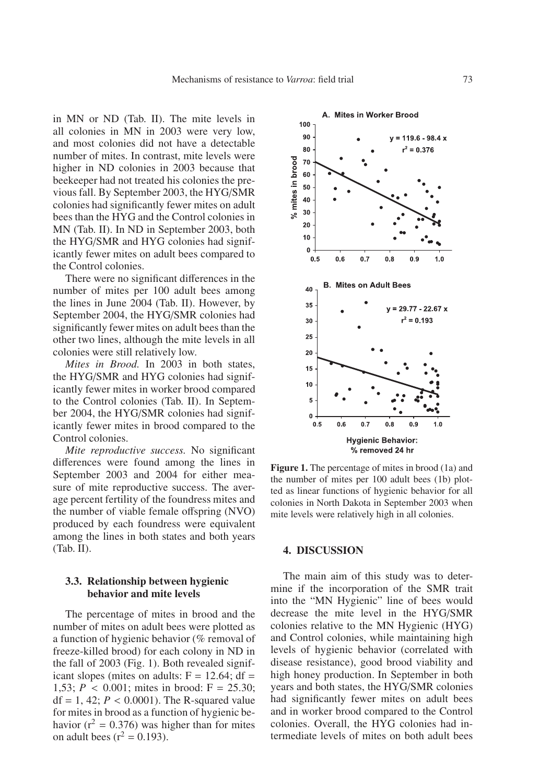in MN or ND (Tab. II). The mite levels in all colonies in MN in 2003 were very low, and most colonies did not have a detectable number of mites. In contrast, mite levels were higher in ND colonies in 2003 because that beekeeper had not treated his colonies the previous fall. By September 2003, the HYG/SMR colonies had significantly fewer mites on adult bees than the HYG and the Control colonies in MN (Tab. II). In ND in September 2003, both the HYG/SMR and HYG colonies had significantly fewer mites on adult bees compared to the Control colonies.

There were no significant differences in the number of mites per 100 adult bees among the lines in June 2004 (Tab. II). However, by September 2004, the HYG/SMR colonies had significantly fewer mites on adult bees than the other two lines, although the mite levels in all colonies were still relatively low.

*Mites in Brood.* In 2003 in both states, the HYG/SMR and HYG colonies had significantly fewer mites in worker brood compared to the Control colonies (Tab. II). In September 2004, the HYG/SMR colonies had significantly fewer mites in brood compared to the Control colonies.

*Mite reproductive success.* No significant differences were found among the lines in September 2003 and 2004 for either measure of mite reproductive success. The average percent fertility of the foundress mites and the number of viable female offspring (NVO) produced by each foundress were equivalent among the lines in both states and both years (Tab. II).

## **3.3. Relationship between hygienic behavior and mite levels**

The percentage of mites in brood and the number of mites on adult bees were plotted as a function of hygienic behavior (% removal of freeze-killed brood) for each colony in ND in the fall of 2003 (Fig. 1). Both revealed significant slopes (mites on adults:  $F = 12.64$ ; df = 1,53;  $P < 0.001$ ; mites in brood:  $F = 25.30$ ; df = 1, 42;  $P < 0.0001$ ). The R-squared value for mites in brood as a function of hygienic behavior ( $r^2 = 0.376$ ) was higher than for mites on adult bees  $(r^2 = 0.193)$ .

A. Mites in Worker Brood  $100$ 90  $y = 119.6 - 98.4 x$ 80  $r^2 = 0.376$ brood 70 60  $%$  mites in 50 40 30 20  $10$  $\mathbf 0$  $0.5$  $0.6$  $0.7$  $0.8$  $0.9$  $1.0$ **B. Mites on Adult Bees** 40 35  $y = 29.77 - 22.67 x$  $r^2 = 0.193$ 30 25 20 15  $10$ 5  $\mathbf{0}$  $0.6$  $0.5$  $0.7$  $0.8$  $0.9$  $1.0$ **Hygienic Behavior:** % removed 24 hr

**Figure 1.** The percentage of mites in brood (1a) and the number of mites per 100 adult bees (1b) plotted as linear functions of hygienic behavior for all colonies in North Dakota in September 2003 when mite levels were relatively high in all colonies.

## **4. DISCUSSION**

The main aim of this study was to determine if the incorporation of the SMR trait into the "MN Hygienic" line of bees would decrease the mite level in the HYG/SMR colonies relative to the MN Hygienic (HYG) and Control colonies, while maintaining high levels of hygienic behavior (correlated with disease resistance), good brood viability and high honey production. In September in both years and both states, the HYG/SMR colonies had significantly fewer mites on adult bees and in worker brood compared to the Control colonies. Overall, the HYG colonies had intermediate levels of mites on both adult bees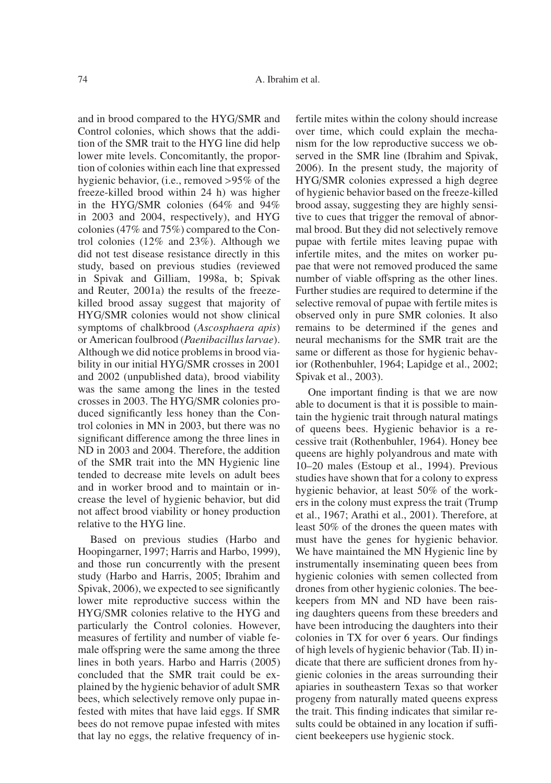and in brood compared to the HYG/SMR and Control colonies, which shows that the addition of the SMR trait to the HYG line did help lower mite levels. Concomitantly, the proportion of colonies within each line that expressed hygienic behavior, (i.e., removed >95% of the freeze-killed brood within 24 h) was higher in the HYG/SMR colonies (64% and 94% in 2003 and 2004, respectively), and HYG colonies (47% and 75%) compared to the Control colonies (12% and 23%). Although we did not test disease resistance directly in this study, based on previous studies (reviewed in Spivak and Gilliam, 1998a, b; Spivak and Reuter, 2001a) the results of the freezekilled brood assay suggest that majority of HYG/SMR colonies would not show clinical symptoms of chalkbrood (*Ascosphaera apis*) or American foulbrood (*Paenibacillus larvae*). Although we did notice problems in brood viability in our initial HYG/SMR crosses in 2001 and 2002 (unpublished data), brood viability was the same among the lines in the tested crosses in 2003. The HYG/SMR colonies produced significantly less honey than the Control colonies in MN in 2003, but there was no significant difference among the three lines in ND in 2003 and 2004. Therefore, the addition of the SMR trait into the MN Hygienic line tended to decrease mite levels on adult bees and in worker brood and to maintain or increase the level of hygienic behavior, but did not affect brood viability or honey production relative to the HYG line.

Based on previous studies (Harbo and Hoopingarner, 1997; Harris and Harbo, 1999), and those run concurrently with the present study (Harbo and Harris, 2005; Ibrahim and Spivak, 2006), we expected to see significantly lower mite reproductive success within the HYG/SMR colonies relative to the HYG and particularly the Control colonies. However, measures of fertility and number of viable female offspring were the same among the three lines in both years. Harbo and Harris (2005) concluded that the SMR trait could be explained by the hygienic behavior of adult SMR bees, which selectively remove only pupae infested with mites that have laid eggs. If SMR bees do not remove pupae infested with mites that lay no eggs, the relative frequency of infertile mites within the colony should increase over time, which could explain the mechanism for the low reproductive success we observed in the SMR line (Ibrahim and Spivak, 2006). In the present study, the majority of HYG/SMR colonies expressed a high degree of hygienic behavior based on the freeze-killed brood assay, suggesting they are highly sensitive to cues that trigger the removal of abnormal brood. But they did not selectively remove pupae with fertile mites leaving pupae with infertile mites, and the mites on worker pupae that were not removed produced the same number of viable offspring as the other lines. Further studies are required to determine if the selective removal of pupae with fertile mites is observed only in pure SMR colonies. It also remains to be determined if the genes and neural mechanisms for the SMR trait are the same or different as those for hygienic behavior (Rothenbuhler, 1964; Lapidge et al., 2002; Spivak et al., 2003).

One important finding is that we are now able to document is that it is possible to maintain the hygienic trait through natural matings of queens bees. Hygienic behavior is a recessive trait (Rothenbuhler, 1964). Honey bee queens are highly polyandrous and mate with 10–20 males (Estoup et al., 1994). Previous studies have shown that for a colony to express hygienic behavior, at least 50% of the workers in the colony must express the trait (Trump et al., 1967; Arathi et al., 2001). Therefore, at least 50% of the drones the queen mates with must have the genes for hygienic behavior. We have maintained the MN Hygienic line by instrumentally inseminating queen bees from hygienic colonies with semen collected from drones from other hygienic colonies. The beekeepers from MN and ND have been raising daughters queens from these breeders and have been introducing the daughters into their colonies in TX for over 6 years. Our findings of high levels of hygienic behavior (Tab. II) indicate that there are sufficient drones from hygienic colonies in the areas surrounding their apiaries in southeastern Texas so that worker progeny from naturally mated queens express the trait. This finding indicates that similar results could be obtained in any location if sufficient beekeepers use hygienic stock.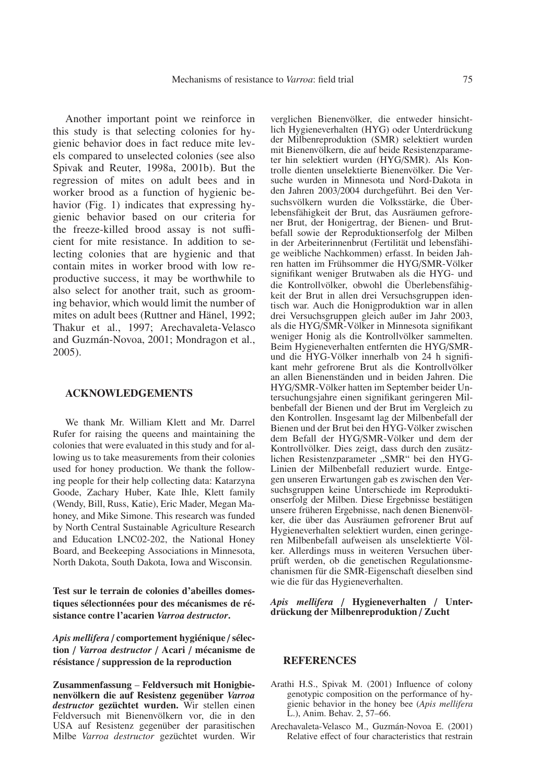Another important point we reinforce in this study is that selecting colonies for hygienic behavior does in fact reduce mite levels compared to unselected colonies (see also Spivak and Reuter, 1998a, 2001b). But the regression of mites on adult bees and in worker brood as a function of hygienic behavior (Fig. 1) indicates that expressing hygienic behavior based on our criteria for the freeze-killed brood assay is not sufficient for mite resistance. In addition to selecting colonies that are hygienic and that contain mites in worker brood with low reproductive success, it may be worthwhile to also select for another trait, such as grooming behavior, which would limit the number of mites on adult bees (Ruttner and Hänel, 1992; Thakur et al., 1997; Arechavaleta-Velasco and Guzmán-Novoa, 2001; Mondragon et al., 2005).

## **ACKNOWLEDGEMENTS**

We thank Mr. William Klett and Mr. Darrel Rufer for raising the queens and maintaining the colonies that were evaluated in this study and for allowing us to take measurements from their colonies used for honey production. We thank the following people for their help collecting data: Katarzyna Goode, Zachary Huber, Kate Ihle, Klett family (Wendy, Bill, Russ, Katie), Eric Mader, Megan Mahoney, and Mike Simone. This research was funded by North Central Sustainable Agriculture Research and Education LNC02-202, the National Honey Board, and Beekeeping Associations in Minnesota, North Dakota, South Dakota, Iowa and Wisconsin.

**Test sur le terrain de colonies d'abeilles domestiques sélectionnées pour des mécanismes de résistance contre l'acarien** *Varroa destructor***.**

*Apis mellifera* / **comportement hygiénique** / **sélection** / *Varroa destructor* / **Acari** / **mécanisme de résistance** / **suppression de la reproduction**

**Zusammenfassung** – **Feldversuch mit Honigbienenvölkern die auf Resistenz gegenüber** *Varroa destructor* **gezüchtet wurden.** Wir stellen einen Feldversuch mit Bienenvölkern vor, die in den USA auf Resistenz gegenüber der parasitischen Milbe *Varroa destructor* gezüchtet wurden. Wir

verglichen Bienenvölker, die entweder hinsichtlich Hygieneverhalten (HYG) oder Unterdrückung der Milbenreproduktion (SMR) selektiert wurden mit Bienenvölkern, die auf beide Resistenzparameter hin selektiert wurden (HYG/SMR). Als Kontrolle dienten unselektierte Bienenvölker. Die Versuche wurden in Minnesota und Nord-Dakota in den Jahren 2003/2004 durchgeführt. Bei den Versuchsvölkern wurden die Volksstärke, die Überlebensfähigkeit der Brut, das Ausräumen gefrorener Brut, der Honigertrag, der Bienen- und Brutbefall sowie der Reproduktionserfolg der Milben in der Arbeiterinnenbrut (Fertilität und lebensfähige weibliche Nachkommen) erfasst. In beiden Jahren hatten im Frühsommer die HYG/SMR-Völker signifikant weniger Brutwaben als die HYG- und die Kontrollvölker, obwohl die Überlebensfähigkeit der Brut in allen drei Versuchsgruppen identisch war. Auch die Honigproduktion war in allen drei Versuchsgruppen gleich außer im Jahr 2003, als die HYG/SMR-Völker in Minnesota signifikant weniger Honig als die Kontrollvölker sammelten. Beim Hygieneverhalten entfernten die HYG/SMRund die HYG-Völker innerhalb von 24 h signifikant mehr gefrorene Brut als die Kontrollvölker an allen Bienenständen und in beiden Jahren. Die HYG/SMR-Völker hatten im September beider Untersuchungsjahre einen signifikant geringeren Milbenbefall der Bienen und der Brut im Vergleich zu den Kontrollen. Insgesamt lag der Milbenbefall der Bienen und der Brut bei den HYG-Völker zwischen dem Befall der HYG/SMR-Völker und dem der Kontrollvölker. Dies zeigt, dass durch den zusätzlichen Resistenzparameter "SMR" bei den HYG-Linien der Milbenbefall reduziert wurde. Entgegen unseren Erwartungen gab es zwischen den Versuchsgruppen keine Unterschiede im Reproduktionserfolg der Milben. Diese Ergebnisse bestätigen unsere früheren Ergebnisse, nach denen Bienenvölker, die über das Ausräumen gefrorener Brut auf Hygieneverhalten selektiert wurden, einen geringeren Milbenbefall aufweisen als unselektierte Völker. Allerdings muss in weiteren Versuchen überprüft werden, ob die genetischen Regulationsmechanismen für die SMR-Eigenschaft dieselben sind wie die für das Hygieneverhalten.

*Apis mellifera* / **Hygieneverhalten** / **Unterdrückung der Milbenreproduktion** / **Zucht**

## **REFERENCES**

- Arathi H.S., Spivak M. (2001) Influence of colony genotypic composition on the performance of hygienic behavior in the honey bee (*Apis mellifera* L.), Anim. Behav. 2, 57–66.
- Arechavaleta-Velasco M., Guzmán-Novoa E. (2001) Relative effect of four characteristics that restrain